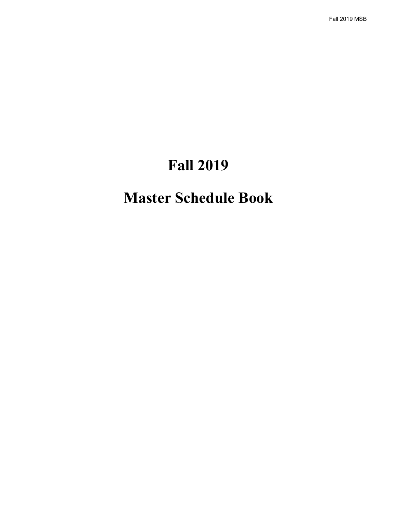# **Fall 2019**

# **Master Schedule Book**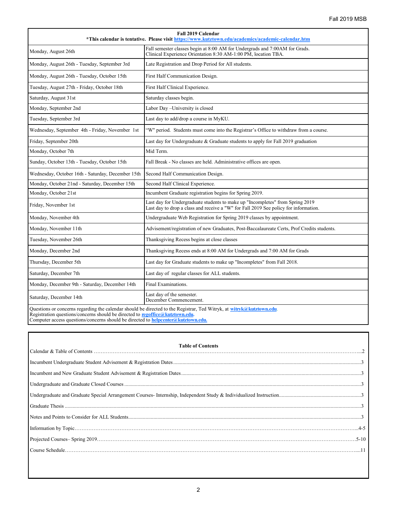<span id="page-1-0"></span>

| Fall 2019 Calendar<br>*This calendar is tentative. Please visit https://www.kutztown.edu/academics/academic-calendar.htm |                                                                                                                                                                       |  |  |
|--------------------------------------------------------------------------------------------------------------------------|-----------------------------------------------------------------------------------------------------------------------------------------------------------------------|--|--|
| Monday, August 26th                                                                                                      | Fall semester classes begin at 8:00 AM for Undergrads and 7:00 AM for Grads.<br>Clinical Experience Orientation 8:30 AM-1:00 PM, location TBA.                        |  |  |
| Monday, August 26th - Tuesday, September 3rd                                                                             | Late Registration and Drop Period for All students.                                                                                                                   |  |  |
| Monday, August 26th - Tuesday, October 15th                                                                              | First Half Communication Design.                                                                                                                                      |  |  |
| Tuesday, August 27th - Friday, October 18th                                                                              | First Half Clinical Experience.                                                                                                                                       |  |  |
| Saturday, August 31st                                                                                                    | Saturday classes begin.                                                                                                                                               |  |  |
| Monday, September 2nd                                                                                                    | Labor Day-University is closed                                                                                                                                        |  |  |
| Tuesday, September 3rd                                                                                                   | Last day to add/drop a course in MyKU.                                                                                                                                |  |  |
| Wednesday, September 4th - Friday, November 1st                                                                          | "W" period. Students must come into the Registrar's Office to withdraw from a course.                                                                                 |  |  |
| Friday, September 20th                                                                                                   | Last day for Undergraduate $&$ Graduate students to apply for Fall 2019 graduation                                                                                    |  |  |
| Monday, October 7th                                                                                                      | Mid Term.                                                                                                                                                             |  |  |
| Sunday, October 13th - Tuesday, October 15th                                                                             | Fall Break - No classes are held. Administrative offices are open.                                                                                                    |  |  |
| Wednesday, October 16th - Saturday, December 15th                                                                        | Second Half Communication Design.                                                                                                                                     |  |  |
| Monday, October 21nd - Saturday, December 15th                                                                           | Second Half Clinical Experience.                                                                                                                                      |  |  |
| Monday, October 21st                                                                                                     | Incumbent Graduate registration begins for Spring 2019.                                                                                                               |  |  |
| Friday, November 1st                                                                                                     | Last day for Undergraduate students to make up "Incompletes" from Spring 2019<br>Last day to drop a class and receive a "W" for Fall 2019 See policy for information. |  |  |
| Monday, November 4th                                                                                                     | Undergraduate Web Registration for Spring 2019 classes by appointment.                                                                                                |  |  |
| Monday, November 11th                                                                                                    | Advisement/registration of new Graduates, Post-Baccalaureate Certs, Prof Credits students.                                                                            |  |  |
| Tuesday, November 26th                                                                                                   | Thanksgiving Recess begins at close classes                                                                                                                           |  |  |
| Monday, December 2nd                                                                                                     | Thanksgiving Recess ends at 8:00 AM for Undergrads and 7:00 AM for Grads                                                                                              |  |  |
| Thursday, December 5th                                                                                                   | Last day for Graduate students to make up "Incompletes" from Fall 2018.                                                                                               |  |  |
| Saturday, December 7th                                                                                                   | Last day of regular classes for ALL students.                                                                                                                         |  |  |
| Monday, December 9th - Saturday, December 14th                                                                           | Final Examinations.                                                                                                                                                   |  |  |
| Saturday, December 14th                                                                                                  | Last day of the semester.<br>December Commencement.                                                                                                                   |  |  |
|                                                                                                                          | Questions or concerns regarding the calendar should be directed to the Registrar, Ted Witryk, at witryk@kutztown.edu.                                                 |  |  |

Registration questions/concerns should be directed to **[regoffice@kutztown.edu.](mailto:regoffice@kutztown.edu)**  Computer access questions/concerns should be directed to **[helpcenter@kutztown.edu.](mailto:helpcenter@kutztown.edu.)**

 $\mathbf{I}$ 

| $[ \textit{Course Schedule} \textit{.} \textit{.} \textit{.} \textit{.} \textit{.} \textit{.} \textit{.} \textit{.} \textit{.} \textit{.} \textit{.} \textit{.} \textit{.} \textit{.} \textit{.} \textit{.} \textit{.} \textit{.} \textit{.} \textit{.} \textit{.} \textit{.} \textit{.} \textit{.} \textit{.} \textit{.} \textit{.} \textit{.} \textit{.} \textit{.} \textit{.} \textit{.} \textit{.} \textit{.} \textit{.} \text$ |
|-------------------------------------------------------------------------------------------------------------------------------------------------------------------------------------------------------------------------------------------------------------------------------------------------------------------------------------------------------------------------------------------------------------------------------------|
|                                                                                                                                                                                                                                                                                                                                                                                                                                     |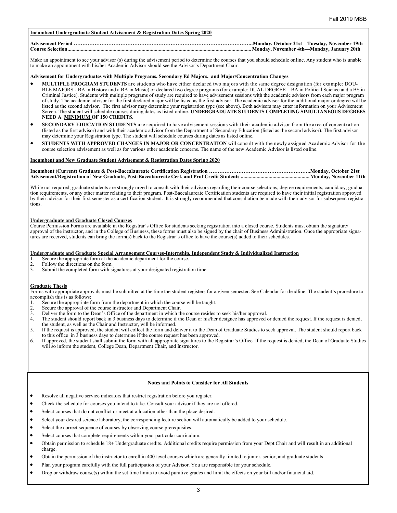# **Incumbent Undergraduate Student Advisement & Registration Dates Spring 2020**

# **Advisement Period …………………………………………………………………………………………..Monday, October 21st—Tuesday, November 19th Course Selection...........................................................................................................................................Monday, November 4th—Monday, January 20th**

Make an appointment to see your advisor (s) during the advisement period to determine the courses that you should schedule online. Any student who is unable to make an appointment with his/her Academic Advisor should see the Advisor's Department Chair.

# **Advisement for Undergraduates with Multiple Programs, Secondary Ed Majors, and Major/Concentration Changes**

- **MULTIPLE PROGRAM STUDENTS** are students who have either declared two majors with the same degree designation (for example: DOU-BLE MAJORS - BA in History and a BA in Music) or declared two degree programs (for example: DUAL DEGREE – BA in Political Science and a BS in Criminal Justice). Students with multiple programs of study are required to have advisement sessions with the academic advisors from each major program of study. The academic advisor for the first declared major will be listed as the first advisor. The academic advisor for the additional major or degree will be listed as the second advisor. The first advisor may determine your registration type (see above). Both advisors may enter information on your Advisement Screen. The student will schedule courses during dates as listed online. **UNDERGRADUATE STUDENTS COMPLETING SIMULTANEOUS DEGREES NEED A MINIMUM OF 150 CREDITS.**
- **SECONDARY EDUCATION STUDENTS** are required to have advisement sessions with their academic advisor from the area of concentration (listed as the first advisor) and with their academic advisor from the Department of Secondary Education (listed as the second advisor). The first advisor may determine your Registration type. The student will schedule courses during dates as listed online.
- **STUDENTS WITH APPROVED CHANGES IN MAJOR OR CONCENTRATION** will consult with the newly assigned Academic Advisor for the course selection advisement as well as for various other academic concerns. The name of the new Academic Advisor is listed online.

#### **Incumbent and New Graduate Student Advisement & Registration Dates Spring 2020**

**Incumbent (Current) Graduate & Post-Baccalaureate Certification Registration …………………………………………………..Monday, October 21st Advisement/Registration of New Graduate, Post-Baccalaureate Cert, and Prof Credit Students ....................................................Monday, November 11th**

While not required, graduate students are strongly urged to consult with their advisors regarding their course selections, degree requirements, candidacy, graduation requirements, or any other matter relating to their program. Post-Baccalaureate Certification students are required to have their initial registration approved by their advisor for their first semester as a certification student. It is strongly recommended that consultation be made with their advisor for subsequent registrations.

# **Undergraduate and Graduate Closed Courses**

Course Permission Forms are available in the Registrar's Office for students seeking registration into a closed course. Students must obtain the signature/ approval of the instructor, and in the College of Business, these forms must also be signed by the chair of Business Administration. Once the appropriate signatures are received, students can bring the form(s) back to the Registrar's office to have the course(s) added to their schedules.

#### **Undergraduate and Graduate Special Arrangement Courses-Internship, Independent Study & Individualized Instruction**

1. Secure the appropriate form at the academic department for the course.

2. Follow the directions on the form.<br>3. Submit the completed form with si

Submit the completed form with signatures at your designated registration time.

## **Graduate Thesis**

Forms with appropriate approvals must be submitted at the time the student registers for a given semester. See Calendar for deadline. The student's procedure to accomplish this is as follows:

- 1. Secure the appropriate form from the department in which the course will be taught.<br>2. Secure the approval of the course instructor and Department Chair.
- 2. Secure the approval of the course instructor and Department Chair.<br>3. Deliver the form to the Dean's Office of the department in which the
- 3. Deliver the form to the Dean's Office of the department in which the course resides to seek his/her approval.
- 4. The student should report back in 3 business days to determine if the Dean or his/her designee has approved or denied the request. If the request is denied, the student, as well as the Chair and Instructor, will be informed.
- 5. If the request is approved, the student will collect the form and deliver it to the Dean of Graduate Studies to seek approval. The student should report back to this office in 3 business days to determine if the course request has been approved.
- 6. If approved, the student shall submit the form with all appropriate signatures to the Registrar's Office. If the request is denied, the Dean of Graduate Studies will so inform the student, College Dean, Department Chair, and Instructor.

# **Notes and Points to Consider for All Students**

- Resolve all negative service indicators that restrict registration before you register.
- Check the schedule for courses you intend to take. Consult your advisor if they are not offered.
- Select courses that do not conflict or meet at a location other than the place desired.
- Select your desired science laboratory, the corresponding lecture section will automatically be added to your schedule.
- Select the correct sequence of courses by observing course prerequisites.
- Select courses that complete requirements within your particular curriculum.
- Obtain permission to schedule 18+ Undergraduate credits. Additional credits require permission from your Dept Chair and will result in an additional charge.
- Obtain the permission of the instructor to enroll in 400 level courses which are generally limited to junior, senior, and graduate students.
- Plan your program carefully with the full participation of your Advisor. You are responsible for your schedule.
- Drop or withdraw course(s) within the set time limits to avoid punitive grades and limit the effects on your bill and/or financial aid.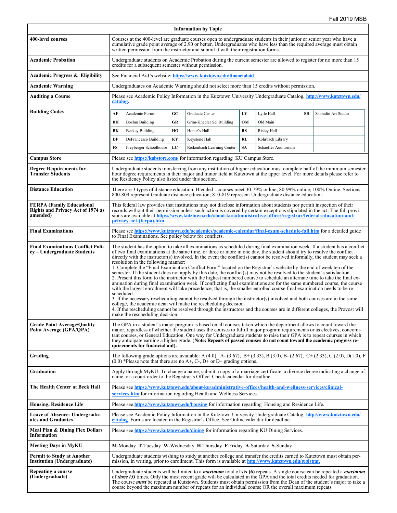<span id="page-3-0"></span>

| <b>Information by Topic</b>                                                              |                                                                                                                                                                                                                                                                                                                                                                                                                                                                                                                                                                                                                                                                                                                                                                                                                                                                                                                                                                                                                                                                                                                                                                                                                                                                                                                                                                                                                                                       |                                                                                                                                                                                                                                                                                                                                                                                                      |    |                                                                                                                                                                                                                                                     |           |                      |  |                     |
|------------------------------------------------------------------------------------------|-------------------------------------------------------------------------------------------------------------------------------------------------------------------------------------------------------------------------------------------------------------------------------------------------------------------------------------------------------------------------------------------------------------------------------------------------------------------------------------------------------------------------------------------------------------------------------------------------------------------------------------------------------------------------------------------------------------------------------------------------------------------------------------------------------------------------------------------------------------------------------------------------------------------------------------------------------------------------------------------------------------------------------------------------------------------------------------------------------------------------------------------------------------------------------------------------------------------------------------------------------------------------------------------------------------------------------------------------------------------------------------------------------------------------------------------------------|------------------------------------------------------------------------------------------------------------------------------------------------------------------------------------------------------------------------------------------------------------------------------------------------------------------------------------------------------------------------------------------------------|----|-----------------------------------------------------------------------------------------------------------------------------------------------------------------------------------------------------------------------------------------------------|-----------|----------------------|--|---------------------|
| 400-level courses                                                                        | Courses at the 400-level are graduate courses open to undergraduate students in their junior or senior year who have a<br>cumulative grade point average of 2.90 or better. Undergraduates who have less than the required average must obtain<br>written permission from the instructor and submit it with their registration forms.                                                                                                                                                                                                                                                                                                                                                                                                                                                                                                                                                                                                                                                                                                                                                                                                                                                                                                                                                                                                                                                                                                                 |                                                                                                                                                                                                                                                                                                                                                                                                      |    |                                                                                                                                                                                                                                                     |           |                      |  |                     |
| <b>Academic Probation</b>                                                                |                                                                                                                                                                                                                                                                                                                                                                                                                                                                                                                                                                                                                                                                                                                                                                                                                                                                                                                                                                                                                                                                                                                                                                                                                                                                                                                                                                                                                                                       | Undergraduate students on Academic Probation during the current semester are allowed to register for no more than 15<br>credits for a subsequent semester without permission.                                                                                                                                                                                                                        |    |                                                                                                                                                                                                                                                     |           |                      |  |                     |
| <b>Academic Progress &amp; Eligibility</b>                                               |                                                                                                                                                                                                                                                                                                                                                                                                                                                                                                                                                                                                                                                                                                                                                                                                                                                                                                                                                                                                                                                                                                                                                                                                                                                                                                                                                                                                                                                       |                                                                                                                                                                                                                                                                                                                                                                                                      |    | See Financial Aid's website: https://www.kutztown.edu/financialaid.                                                                                                                                                                                 |           |                      |  |                     |
| Academic Warning                                                                         |                                                                                                                                                                                                                                                                                                                                                                                                                                                                                                                                                                                                                                                                                                                                                                                                                                                                                                                                                                                                                                                                                                                                                                                                                                                                                                                                                                                                                                                       |                                                                                                                                                                                                                                                                                                                                                                                                      |    | Undergraduates on Academic Warning should not select more than 15 credits without permission.                                                                                                                                                       |           |                      |  |                     |
| <b>Auditing a Course</b>                                                                 | Please see Academic Policy Information in the Kutztown University Undergraduate Catalog, http://www.kutztown.edu/<br>catalog.                                                                                                                                                                                                                                                                                                                                                                                                                                                                                                                                                                                                                                                                                                                                                                                                                                                                                                                                                                                                                                                                                                                                                                                                                                                                                                                         |                                                                                                                                                                                                                                                                                                                                                                                                      |    |                                                                                                                                                                                                                                                     |           |                      |  |                     |
| <b>Building Codes</b>                                                                    | GC<br>LY<br><b>SH</b><br>AF<br>Academic Forum<br>Graduate Center<br>Lytle Hall                                                                                                                                                                                                                                                                                                                                                                                                                                                                                                                                                                                                                                                                                                                                                                                                                                                                                                                                                                                                                                                                                                                                                                                                                                                                                                                                                                        |                                                                                                                                                                                                                                                                                                                                                                                                      |    |                                                                                                                                                                                                                                                     |           |                      |  | Sharadin Art Studio |
|                                                                                          | BН                                                                                                                                                                                                                                                                                                                                                                                                                                                                                                                                                                                                                                                                                                                                                                                                                                                                                                                                                                                                                                                                                                                                                                                                                                                                                                                                                                                                                                                    | Boehm Building                                                                                                                                                                                                                                                                                                                                                                                       | GR | Grim-Knedler Sci Building                                                                                                                                                                                                                           | OM        | Old Main             |  |                     |
|                                                                                          | BK                                                                                                                                                                                                                                                                                                                                                                                                                                                                                                                                                                                                                                                                                                                                                                                                                                                                                                                                                                                                                                                                                                                                                                                                                                                                                                                                                                                                                                                    | <b>Beekey Building</b>                                                                                                                                                                                                                                                                                                                                                                               | HO | Honor's Hall                                                                                                                                                                                                                                        | RS        | Risley Hall          |  |                     |
|                                                                                          | DF                                                                                                                                                                                                                                                                                                                                                                                                                                                                                                                                                                                                                                                                                                                                                                                                                                                                                                                                                                                                                                                                                                                                                                                                                                                                                                                                                                                                                                                    | DeFrancesco Building                                                                                                                                                                                                                                                                                                                                                                                 | KY | Keystone Hall                                                                                                                                                                                                                                       | <b>RL</b> | Rohrbach Library     |  |                     |
|                                                                                          | FS                                                                                                                                                                                                                                                                                                                                                                                                                                                                                                                                                                                                                                                                                                                                                                                                                                                                                                                                                                                                                                                                                                                                                                                                                                                                                                                                                                                                                                                    | Freyberger Schoolhouse                                                                                                                                                                                                                                                                                                                                                                               | LC | Rickenbach Learning Center                                                                                                                                                                                                                          | <b>SA</b> | Schaeffer Auditorium |  |                     |
| <b>Campus Store</b>                                                                      |                                                                                                                                                                                                                                                                                                                                                                                                                                                                                                                                                                                                                                                                                                                                                                                                                                                                                                                                                                                                                                                                                                                                                                                                                                                                                                                                                                                                                                                       |                                                                                                                                                                                                                                                                                                                                                                                                      |    | Please see https://kubstore.com/ for information regarding KU Campus Store.                                                                                                                                                                         |           |                      |  |                     |
| <b>Degree Requirements for</b><br><b>Transfer Students</b>                               |                                                                                                                                                                                                                                                                                                                                                                                                                                                                                                                                                                                                                                                                                                                                                                                                                                                                                                                                                                                                                                                                                                                                                                                                                                                                                                                                                                                                                                                       | the Residency Policy also listed under this section.                                                                                                                                                                                                                                                                                                                                                 |    | Undergraduate students transferring from any institution of higher education must complete half of the minimum semester<br>hour degree requirements in their major and minor field at Kutztown at the upper level. For more details please refer to |           |                      |  |                     |
| <b>Distance Education</b>                                                                |                                                                                                                                                                                                                                                                                                                                                                                                                                                                                                                                                                                                                                                                                                                                                                                                                                                                                                                                                                                                                                                                                                                                                                                                                                                                                                                                                                                                                                                       |                                                                                                                                                                                                                                                                                                                                                                                                      |    | There are 3 types of distance education: Blended - courses meet 30-79% online; 80-99% online; 100% Online. Sections<br>800-809 represent Graduate distance education; 810-819 represent Undergraduate distance education.                           |           |                      |  |                     |
| <b>FERPA (Family Educational</b><br><b>Rights and Privacy Act of 1974 as</b><br>amended) |                                                                                                                                                                                                                                                                                                                                                                                                                                                                                                                                                                                                                                                                                                                                                                                                                                                                                                                                                                                                                                                                                                                                                                                                                                                                                                                                                                                                                                                       | This federal law provides that institutions may not disclose information about students nor permit inspection of their<br>records without their permission unless such action is covered by certain exceptions stipulated in the act. The full provi-<br>sions are available at https://www.kutztown.edu/about-ku/administrative-offices/registrar/federal-education-and-<br>privacy-act-(ferpa).htm |    |                                                                                                                                                                                                                                                     |           |                      |  |                     |
| <b>Final Examinations</b>                                                                | Please see https://www.kutztown.edu/academics/academic-calendar/final-exam-schedule-fall.htm for a detailed guide<br>to Final Examinations. See policy below for conflicts.                                                                                                                                                                                                                                                                                                                                                                                                                                                                                                                                                                                                                                                                                                                                                                                                                                                                                                                                                                                                                                                                                                                                                                                                                                                                           |                                                                                                                                                                                                                                                                                                                                                                                                      |    |                                                                                                                                                                                                                                                     |           |                      |  |                     |
| <b>Final Examinations Conflict Poli-</b><br>cy – Undergraduate Students                  | The student has the option to take all examinations as scheduled during final examination week. If a student has a conflict<br>of two final examinations at the same time, or three or more in one day, the student should try to resolve the conflict<br>directly with the instructor(s) involved. In the event the conflict(s) cannot be resolved informally, the student may seek a<br>resolution in the following manner:<br>1. Complete the "Final Examination Conflict Form" located on the Registrar's website by the end of week ten of the<br>semester. If the student does not apply by this date, the conflict(s) may not be resolved to the student's satisfaction.<br>2. Present this form to the instructor with the highest numbered course to schedule an alternate time to take the final ex-<br>amination during final examination week. If conflicting final examinations are for the same numbered course, the course<br>with the largest enrollment will take precedence; that is, the smaller enrolled course final examination needs to be re-<br>scheduled.<br>3. If the necessary rescheduling cannot be resolved through the instructor(s) involved and both courses are in the same<br>college, the academic dean will make the rescheduling decision.<br>4. If the rescheduling cannot be resolved through the instructors and the courses are in different colleges, the Provost will<br>make the rescheduling decision. |                                                                                                                                                                                                                                                                                                                                                                                                      |    |                                                                                                                                                                                                                                                     |           |                      |  |                     |
| <b>Grade Point Average/Quality</b><br>Point Average (GPA/QPA)                            | The GPA in a student's major program is based on all courses taken which the department allows to count toward the<br>major, regardless of whether the student uses the courses to fulfill major program requirements or as electives, concomi-<br>tant courses, or General Education. One way for Undergraduate students to raise their GPA is to repeat courses in which<br>they anticipate earning a higher grade. (Note: Repeats of passed courses do not count toward the academic progress re-<br>quirements for financial aid).                                                                                                                                                                                                                                                                                                                                                                                                                                                                                                                                                                                                                                                                                                                                                                                                                                                                                                                |                                                                                                                                                                                                                                                                                                                                                                                                      |    |                                                                                                                                                                                                                                                     |           |                      |  |                     |
| Grading                                                                                  | The following grade options are available: A (4.0), A- (3.67), B+ (3.33), B (3.0), B- (2.67), C+ (2.33), C (2.0), D(1.0), F<br>$(0.0)$ *Please note that there are no A+, C-, D+ or D– grading options.                                                                                                                                                                                                                                                                                                                                                                                                                                                                                                                                                                                                                                                                                                                                                                                                                                                                                                                                                                                                                                                                                                                                                                                                                                               |                                                                                                                                                                                                                                                                                                                                                                                                      |    |                                                                                                                                                                                                                                                     |           |                      |  |                     |
| Graduation                                                                               | Apply through MyKU. To change a name, submit a copy of a marriage certificate, a divorce decree indicating a change of<br>name, or a court order to the Registrar's Office. Check calendar for deadline.                                                                                                                                                                                                                                                                                                                                                                                                                                                                                                                                                                                                                                                                                                                                                                                                                                                                                                                                                                                                                                                                                                                                                                                                                                              |                                                                                                                                                                                                                                                                                                                                                                                                      |    |                                                                                                                                                                                                                                                     |           |                      |  |                     |
| The Health Center at Beck Hall                                                           | Please see https://www.kutztown.edu/about-ku/administrative-offices/health-and-wellness-services/clinical-<br>services.htm for information regarding Health and Wellness Services.                                                                                                                                                                                                                                                                                                                                                                                                                                                                                                                                                                                                                                                                                                                                                                                                                                                                                                                                                                                                                                                                                                                                                                                                                                                                    |                                                                                                                                                                                                                                                                                                                                                                                                      |    |                                                                                                                                                                                                                                                     |           |                      |  |                     |
| <b>Housing, Residence Life</b>                                                           | Please see https://www.kutztown.edu/housing for information regarding Housing and Residence Life.                                                                                                                                                                                                                                                                                                                                                                                                                                                                                                                                                                                                                                                                                                                                                                                                                                                                                                                                                                                                                                                                                                                                                                                                                                                                                                                                                     |                                                                                                                                                                                                                                                                                                                                                                                                      |    |                                                                                                                                                                                                                                                     |           |                      |  |                     |
| <b>Leave of Absence- Undergradu-</b><br>ates and Graduates                               |                                                                                                                                                                                                                                                                                                                                                                                                                                                                                                                                                                                                                                                                                                                                                                                                                                                                                                                                                                                                                                                                                                                                                                                                                                                                                                                                                                                                                                                       |                                                                                                                                                                                                                                                                                                                                                                                                      |    | Please see Academic Policy Information in the Kutztown University Undergraduate Catalog, http://www.kutztown.edu/<br>catalog. Forms are located in the Registrar's Office. See Online calendar for deadline.                                        |           |                      |  |                     |
| Meal Plan & Dining Flex Dollars<br><b>Information</b>                                    |                                                                                                                                                                                                                                                                                                                                                                                                                                                                                                                                                                                                                                                                                                                                                                                                                                                                                                                                                                                                                                                                                                                                                                                                                                                                                                                                                                                                                                                       |                                                                                                                                                                                                                                                                                                                                                                                                      |    | Please see https://www.kutztown.edu/dining for information regarding KU Dining Services.                                                                                                                                                            |           |                      |  |                     |
| <b>Meeting Days in MyKU</b>                                                              |                                                                                                                                                                                                                                                                                                                                                                                                                                                                                                                                                                                                                                                                                                                                                                                                                                                                                                                                                                                                                                                                                                                                                                                                                                                                                                                                                                                                                                                       |                                                                                                                                                                                                                                                                                                                                                                                                      |    | M-Monday T-Tuesday W-Wednesday H-Thursday F-Friday A-Saturday S-Sunday                                                                                                                                                                              |           |                      |  |                     |
| <b>Permit to Study at Another</b><br><b>Institution (Undergraduate)</b>                  |                                                                                                                                                                                                                                                                                                                                                                                                                                                                                                                                                                                                                                                                                                                                                                                                                                                                                                                                                                                                                                                                                                                                                                                                                                                                                                                                                                                                                                                       | Undergraduate students wishing to study at another college and transfer the credits earned to Kutztown must obtain per-<br>mission, in writing, prior to enrollment. This form is available at http://www.kutztown.edu/registrar.                                                                                                                                                                    |    |                                                                                                                                                                                                                                                     |           |                      |  |                     |
| Repeating a course<br>(Undergraduate)                                                    | Undergraduate students will be limited to a <i>maximum</i> total of six (6) repeats. A single course can be repeated a <i>maximum</i><br>of <i>three</i> (3) times. Only the most recent grade will be calculated in the GPA and the total credits needed for graduation.<br>The course <b>must</b> be repeated at Kutztown. Students must obtain permission from the Dean of the student's major to take a<br>course beyond the maximum number of repeats for an individual course OR the overall maximum repeats.                                                                                                                                                                                                                                                                                                                                                                                                                                                                                                                                                                                                                                                                                                                                                                                                                                                                                                                                   |                                                                                                                                                                                                                                                                                                                                                                                                      |    |                                                                                                                                                                                                                                                     |           |                      |  |                     |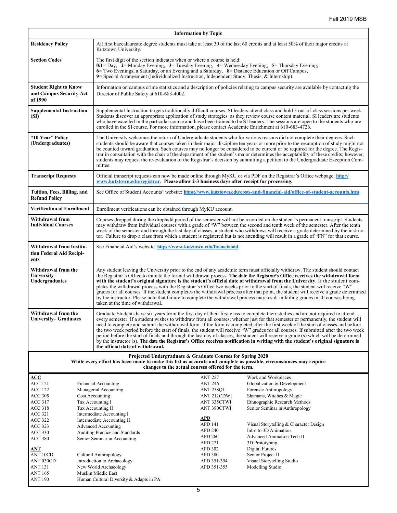<span id="page-4-0"></span>

| <b>Information by Topic</b>                                                                                                                                                                                                                                                                                                                                                                                                                                                                                                                                                                                                                                                                                                                                                                                                                                                                                        |                                                                                                                                                                                                                                                                                                                                                                                                                                                                                                                                                                                                                                                                                                                                                                                                                                                   |                                                                                                                                                                                                                                                                                                                                                                                                                                                                                                                      |                                                                                                                                                                                                           |  |  |  |
|--------------------------------------------------------------------------------------------------------------------------------------------------------------------------------------------------------------------------------------------------------------------------------------------------------------------------------------------------------------------------------------------------------------------------------------------------------------------------------------------------------------------------------------------------------------------------------------------------------------------------------------------------------------------------------------------------------------------------------------------------------------------------------------------------------------------------------------------------------------------------------------------------------------------|---------------------------------------------------------------------------------------------------------------------------------------------------------------------------------------------------------------------------------------------------------------------------------------------------------------------------------------------------------------------------------------------------------------------------------------------------------------------------------------------------------------------------------------------------------------------------------------------------------------------------------------------------------------------------------------------------------------------------------------------------------------------------------------------------------------------------------------------------|----------------------------------------------------------------------------------------------------------------------------------------------------------------------------------------------------------------------------------------------------------------------------------------------------------------------------------------------------------------------------------------------------------------------------------------------------------------------------------------------------------------------|-----------------------------------------------------------------------------------------------------------------------------------------------------------------------------------------------------------|--|--|--|
| <b>Residency Policy</b>                                                                                                                                                                                                                                                                                                                                                                                                                                                                                                                                                                                                                                                                                                                                                                                                                                                                                            | All first baccalaureate degree students must take at least 30 of the last 60 credits and at least 50% of their major credits at<br>Kutztown University.                                                                                                                                                                                                                                                                                                                                                                                                                                                                                                                                                                                                                                                                                           |                                                                                                                                                                                                                                                                                                                                                                                                                                                                                                                      |                                                                                                                                                                                                           |  |  |  |
| <b>Section Codes</b>                                                                                                                                                                                                                                                                                                                                                                                                                                                                                                                                                                                                                                                                                                                                                                                                                                                                                               | The first digit of the section indicates when or where a course is held:<br>$0/1 =$ Day, 2 = Monday Evening, 3 = Tuesday Evening, 4 = Wednesday Evening, 5 = Thursday Evening,<br>6 Two Evenings, a Saturday, or an Evening and a Saturday, 8 = Distance Education or Off Campus,<br>9 = Special Arrangement (Individualized Instruction, Independent Study, Thesis, $\&$ Internship)                                                                                                                                                                                                                                                                                                                                                                                                                                                             |                                                                                                                                                                                                                                                                                                                                                                                                                                                                                                                      |                                                                                                                                                                                                           |  |  |  |
| <b>Student Right to Know</b><br>and Campus Security Act<br>of 1990                                                                                                                                                                                                                                                                                                                                                                                                                                                                                                                                                                                                                                                                                                                                                                                                                                                 | Director of Public Safety at 610-683-4002.                                                                                                                                                                                                                                                                                                                                                                                                                                                                                                                                                                                                                                                                                                                                                                                                        | Information on campus crime statistics and a description of policies relating to campus security are available by contacting the                                                                                                                                                                                                                                                                                                                                                                                     |                                                                                                                                                                                                           |  |  |  |
| <b>Supplemental Instruction</b><br>(SI)                                                                                                                                                                                                                                                                                                                                                                                                                                                                                                                                                                                                                                                                                                                                                                                                                                                                            |                                                                                                                                                                                                                                                                                                                                                                                                                                                                                                                                                                                                                                                                                                                                                                                                                                                   | Supplemental Instruction targets traditionally difficult courses. SI leaders attend class and hold 3 out-of-class sessions per week.<br>Students discover an appropriate application of study strategies as they review course content material. SI leaders are students<br>who have excelled in the particular course and have been trained to be SI leaders. The sessions are open to the students who are<br>enrolled in the SI course. For more information, please contact Academic Enrichment at 610-683-4726. |                                                                                                                                                                                                           |  |  |  |
| "10 Year" Policy<br>(Undergraduates)                                                                                                                                                                                                                                                                                                                                                                                                                                                                                                                                                                                                                                                                                                                                                                                                                                                                               | The University welcomes the return of Undergraduate students who for various reasons did not complete their degrees. Such<br>students should be aware that courses taken in their major discipline ten years or more prior to the resumption of study might not<br>be counted toward graduation. Such courses may no longer be considered to be current or be required for the degree. The Regis-<br>trar in consultation with the chair of the department of the student's major determines the acceptability of these credits; however,<br>students may request the re-evaluation of the Registrar's decision by submitting a petition to the Undergraduate Exception Com-<br>mittee.                                                                                                                                                           |                                                                                                                                                                                                                                                                                                                                                                                                                                                                                                                      |                                                                                                                                                                                                           |  |  |  |
| <b>Transcript Requests</b>                                                                                                                                                                                                                                                                                                                                                                                                                                                                                                                                                                                                                                                                                                                                                                                                                                                                                         | www.kutztown.edu/registrar. Please allow 2-3 business days after receipt for processing.                                                                                                                                                                                                                                                                                                                                                                                                                                                                                                                                                                                                                                                                                                                                                          |                                                                                                                                                                                                                                                                                                                                                                                                                                                                                                                      | Official transcript requests can now be made online through MyKU or via PDF on the Registrar's Office webpage: http://                                                                                    |  |  |  |
| Tuition, Fees, Billing, and<br><b>Refund Policy</b>                                                                                                                                                                                                                                                                                                                                                                                                                                                                                                                                                                                                                                                                                                                                                                                                                                                                | See Office of Student Accounts' website: https://www.kutztown.edu/costs-and-financial-aid/office-of-student-accounts.htm                                                                                                                                                                                                                                                                                                                                                                                                                                                                                                                                                                                                                                                                                                                          |                                                                                                                                                                                                                                                                                                                                                                                                                                                                                                                      |                                                                                                                                                                                                           |  |  |  |
| <b>Verification of Enrollment</b>                                                                                                                                                                                                                                                                                                                                                                                                                                                                                                                                                                                                                                                                                                                                                                                                                                                                                  | Enrollment verifications can be obtained through MyKU account.                                                                                                                                                                                                                                                                                                                                                                                                                                                                                                                                                                                                                                                                                                                                                                                    |                                                                                                                                                                                                                                                                                                                                                                                                                                                                                                                      |                                                                                                                                                                                                           |  |  |  |
| Withdrawal from<br>Individual Courses                                                                                                                                                                                                                                                                                                                                                                                                                                                                                                                                                                                                                                                                                                                                                                                                                                                                              | Courses dropped during the drop/add period of the semester will not be recorded on the student's permanent transcript. Students<br>may withdraw from individual courses with a grade of "W" between the second and tenth week of the semester. After the tenth<br>week of the semester and through the last day of classes, a student who withdraws will receive a grade determined by the instruc-<br>tor. Failure to drop a class from which a student is registered but is not attending will result in a grade of "FN" for that course.                                                                                                                                                                                                                                                                                                       |                                                                                                                                                                                                                                                                                                                                                                                                                                                                                                                      |                                                                                                                                                                                                           |  |  |  |
| Withdrawal from Institu-<br>tion Federal Aid Recipi-<br>ents                                                                                                                                                                                                                                                                                                                                                                                                                                                                                                                                                                                                                                                                                                                                                                                                                                                       | See Financial Aid's website: https://www.kutztown.edu/financialaid.                                                                                                                                                                                                                                                                                                                                                                                                                                                                                                                                                                                                                                                                                                                                                                               |                                                                                                                                                                                                                                                                                                                                                                                                                                                                                                                      |                                                                                                                                                                                                           |  |  |  |
| Withdrawal from the<br>University-<br><b>Undergraduates</b>                                                                                                                                                                                                                                                                                                                                                                                                                                                                                                                                                                                                                                                                                                                                                                                                                                                        | Any student leaving the University prior to the end of any academic term must officially withdraw. The student should contact<br>the Registrar's Office to initiate the formal withdrawal process. The date the Registrar's Office receives the withdrawal form<br>with the student's original signature is the student's official date of withdrawal from the University. If the student com-<br>pletes the withdrawal process with the Registrar's Office two weeks prior to the start of finals, the student will receive "W"<br>grades for all courses. If the student completes the withdrawal process after that point, the student will receive a grade determined<br>by the instructor. Please note that failure to complete the withdrawal process may result in failing grades in all courses being<br>taken at the time of withdrawal. |                                                                                                                                                                                                                                                                                                                                                                                                                                                                                                                      |                                                                                                                                                                                                           |  |  |  |
| Withdrawal from the<br>Graduate Students have six years from the first day of their first class to complete their studies and are not required to attend<br>University-Graduates<br>every semester. If a student wishes to withdraw from all courses; whether just for that semester or permanently, the student will<br>need to complete and submit the withdrawal form. If the form is completed after the first week of the start of classes and before<br>the two week period before the start of finals, the student will receive "W" grades for all courses. If submitted after the two week<br>period before the start of finals and through the last day of classes, the student will receive a grade (s) which will be determined<br>by the instructor (s). The date the Registrar's Office receives notification in writing with the student's original signature is<br>the official date of withdrawal. |                                                                                                                                                                                                                                                                                                                                                                                                                                                                                                                                                                                                                                                                                                                                                                                                                                                   |                                                                                                                                                                                                                                                                                                                                                                                                                                                                                                                      |                                                                                                                                                                                                           |  |  |  |
| Projected Undergraduate & Graduate Courses for Spring 2020<br>While every effort has been made to make this list as accurate and complete as possible, circumstances may require<br>changes to the actual courses offered for the term.                                                                                                                                                                                                                                                                                                                                                                                                                                                                                                                                                                                                                                                                            |                                                                                                                                                                                                                                                                                                                                                                                                                                                                                                                                                                                                                                                                                                                                                                                                                                                   |                                                                                                                                                                                                                                                                                                                                                                                                                                                                                                                      |                                                                                                                                                                                                           |  |  |  |
| ACC<br>ACC 121<br><b>ACC 122</b><br><b>ACC 305</b><br><b>ACC 317</b><br><b>ACC 318</b><br><b>ACC 321</b>                                                                                                                                                                                                                                                                                                                                                                                                                                                                                                                                                                                                                                                                                                                                                                                                           | Financial Accounting<br>Managerial Accounting<br>Cost Accounting<br>Tax Accounting I<br>Tax Accounting II<br>Intermediate Accounting I                                                                                                                                                                                                                                                                                                                                                                                                                                                                                                                                                                                                                                                                                                            | <b>ANT 227</b><br><b>ANT 246</b><br>ANT 258QL<br>ANT 212CDWI<br>ANT 335CTWI<br>ANT 380CTWI<br><b>APD</b>                                                                                                                                                                                                                                                                                                                                                                                                             | Work and Workplaces<br>Globalization & Development<br>Forensic Anthropology<br>Shamans, Witches & Magic<br>Ethnographic Research Methods<br>Senior Seminar in Anthropology                                |  |  |  |
| <b>ACC 322</b><br>Intermediate Accounting II<br><b>ACC 323</b><br><b>Advanced Accounting</b><br><b>ACC 330</b><br>Auditing Practice and Standards<br><b>ACC 380</b><br>Senior Seminar in Accounting<br>ANT<br>ANT 10CD<br>Cultural Anthropology<br>ANT 030CD<br>Introduction to Archaeology<br><b>ANT 131</b><br>New World Archaeology<br><b>ANT 165</b><br>Muslim Middle East<br><b>ANT 190</b><br>Human Cultural Diversity & Adapts in PA                                                                                                                                                                                                                                                                                                                                                                                                                                                                        |                                                                                                                                                                                                                                                                                                                                                                                                                                                                                                                                                                                                                                                                                                                                                                                                                                                   | APD 141<br><b>APD 240</b><br><b>APD 260</b><br>APD 271<br>APD 302<br><b>APD 380</b><br>APD 351-354<br>APD 351-355                                                                                                                                                                                                                                                                                                                                                                                                    | Visual Storytelling & Character Design<br>Intro to 3D Animation<br>Advanced Animation Tech II<br>3D Prototyping<br>Digital Futures<br>Senior Project II<br>Visual Storytelling Studio<br>Modelling Studio |  |  |  |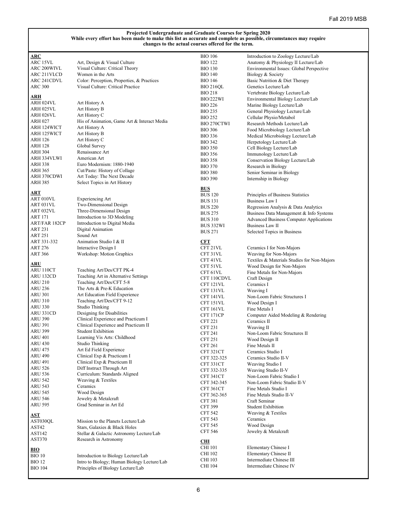| changes to the actual courses offered for the term. |                                                              |                    |                                                |  |  |
|-----------------------------------------------------|--------------------------------------------------------------|--------------------|------------------------------------------------|--|--|
| <u>ARC</u>                                          |                                                              | <b>BIO 106</b>     | Introduction to Zoology Lecture/Lab            |  |  |
| ARC 15VL                                            | Art, Design & Visual Culture                                 | <b>BIO 122</b>     | Anatomy & Physiology II Lecture/Lab            |  |  |
| ARC 200WIVL                                         | Visual Culture: Critical Theory                              | <b>BIO 130</b>     | Environmental Issues: Global Perspective       |  |  |
| ARC 211VLCD                                         | Women in the Arts                                            | <b>BIO 140</b>     | Biology & Society                              |  |  |
| ARC 241CDVL                                         | Color: Perception, Properties, & Practices                   | <b>BIO 146</b>     | Basic Nutrition & Diet Therapy                 |  |  |
| <b>ARC 300</b>                                      | Visual Culture: Critical Practice                            | <b>BIO 216QL</b>   | Genetics Lecture/Lab                           |  |  |
|                                                     |                                                              | <b>BIO 218</b>     | Vertebrate Biology Lecture/Lab                 |  |  |
| ARH                                                 |                                                              | <b>BIO/222WI</b>   | Environmental Biology Lecture/Lab              |  |  |
| ARH 024VL                                           | Art History A                                                | <b>BIO 226</b>     | Marine Biology Lecture/Lab                     |  |  |
| ARH 025VL                                           | Art History B                                                | <b>BIO 235</b>     | General Physiology Lecture/Lab                 |  |  |
| ARH 026VL                                           | Art History C                                                | <b>BIO 252</b>     | Cellular Physio/Metabol                        |  |  |
| ARH 027<br><b>ARH 124WICT</b>                       | His of Animation, Game Art & Interact Media<br>Art History A | <b>BIO 270CTWI</b> | Research Methods Lecture/Lab                   |  |  |
| <b>ARH 125WICT</b>                                  |                                                              | <b>BIO 306</b>     | Food Microbiology Lecture/Lab                  |  |  |
| <b>ARH 126</b>                                      | Art History B<br>Art History C                               | <b>BIO 336</b>     | Medical Microbiology Lecture/Lab               |  |  |
| ARH 128                                             | Global Survey                                                | <b>BIO 342</b>     | Herpetology Lecture/Lab                        |  |  |
| ARH 304                                             | Renaissance Art                                              | <b>BIO 350</b>     | Cell Biology Lecture/Lab                       |  |  |
| ARH 334VLWI                                         | American Art                                                 | <b>BIO 356</b>     | Immunology Lecture/Lab                         |  |  |
| <b>ARH 338</b>                                      | Euro Modernism: 1880-1940                                    | <b>BIO 358</b>     | Conservation Biology Lecture/Lab               |  |  |
| ARH 365                                             | Cut/Paste: History of Collage                                | <b>BIO 370</b>     | Research in Biology                            |  |  |
| ARH 370CDWI                                         | Art Today: The Next Decade                                   | <b>BIO 380</b>     | Senior Seminar in Biology                      |  |  |
| <b>ARH 385</b>                                      | Select Topics in Art History                                 | <b>BIO 390</b>     | Internship in Biology                          |  |  |
|                                                     |                                                              | <b>BUS</b>         |                                                |  |  |
| <u>ART</u>                                          |                                                              | <b>BUS 120</b>     | Principles of Business Statistics              |  |  |
| ART 010VL                                           | <b>Experiencing Art</b>                                      | <b>BUS 131</b>     | Business Law I                                 |  |  |
| ART 031VL                                           | Two-Dimensional Design                                       | <b>BUS 220</b>     | Regression Analysis & Data Analytics           |  |  |
| ART 032VL                                           | Three-Dimensional Design                                     | <b>BUS 275</b>     | Business Data Management & Info Systems        |  |  |
| <b>ART 171</b>                                      | Introduction to 3D Modeling                                  | <b>BUS 310</b>     | <b>Advanced Business Computer Applications</b> |  |  |
| ART/FAR 182CP                                       | Introduction to Digital Media                                | BUS 332WI          | Business Law II                                |  |  |
| <b>ART 231</b>                                      | Digital Animation                                            | <b>BUS 271</b>     | Selected Topics in Business                    |  |  |
| ART 251                                             | Sound Art                                                    |                    |                                                |  |  |
| ART 331-332                                         | Animation Studio I & II                                      | <b>CFT</b>         |                                                |  |  |
| <b>ART 276</b>                                      | Interactive Design I                                         | CFT 21VL           | Ceramics I for Non-Majors                      |  |  |
| <b>ART 366</b>                                      | Workshop: Motion Graphics                                    | CFT 31VL           | Weaving for Non-Majors                         |  |  |
|                                                     |                                                              | CFT 41VL           | Textiles & Materials Studies for Non-Majors    |  |  |
| <u>ARU</u>                                          |                                                              | CFT 51VL           | Wood Design for Non-Majors                     |  |  |
| ARU 110CT                                           | Teaching Art/Des/CFT PK-4                                    | CFT 61VL           | Fine Metals for Non-Majors                     |  |  |
| ARU 132CD                                           | Teaching Art in Alternative Settings                         | CFT 110CDVL        | Craft Design                                   |  |  |
| ARU 210                                             | Teaching Art/Des/CFT 5-8                                     | CFT 121VL          | Ceramics I                                     |  |  |
| <b>ARU 236</b>                                      | The Arts & Pre-K Education                                   | CFT 131VL          | Weaving I                                      |  |  |
| <b>ARU 301</b>                                      | Art Education Field Experience                               | CFT 141VL          | Non-Loom Fabric Structures I                   |  |  |
| <b>ARU 310</b>                                      | Teaching Art/Des/CFT 9-12                                    | CFT 151VL          | Wood Design I                                  |  |  |
| <b>ARU 330</b>                                      | Studio Thinking                                              | CFT 161VL          | Fine Metals I                                  |  |  |
| ARU 331CD                                           | Designing for Disabilities                                   | CFT 171CP          | Computer Aided Modeling & Rendering            |  |  |
| <b>ARU 390</b>                                      | Clinical Experience and Practicum I                          | <b>CFT 221</b>     | Ceramics II                                    |  |  |
| <b>ARU 391</b>                                      | Clinical Experience and Practicum II                         | <b>CFT 231</b>     | Weaving II                                     |  |  |
| <b>ARU 399</b>                                      | <b>Student Exhibition</b>                                    | <b>CFT 241</b>     | Non-Loom Fabric Structures II                  |  |  |
| <b>ARU 401</b>                                      | Learning Vis Arts: Childhood                                 | <b>CFT 251</b>     | Wood Design II                                 |  |  |
| <b>ARU 430</b>                                      | <b>Studio Thinking</b>                                       | <b>CFT 261</b>     | Fine Metals II                                 |  |  |
| <b>ARU 475</b>                                      | Art Ed Field Experience                                      | CFT 321CT          | Ceramics Studio I                              |  |  |
| ARU 490                                             | Clinical Exp & Practicum I                                   | CFT 322-325        | Ceramics Studio II-V                           |  |  |
| <b>ARU 491</b>                                      | Clinical Exp & Practicum II                                  | CFT 331CT          | Weaving Studio I                               |  |  |
| ARU 526                                             | Diff Instruct Through Art                                    | CFT 332-335        | Weaving Studio II-V                            |  |  |
| <b>ARU 536</b>                                      | Curriculum: Standards Aligned                                | CFT 341CT          | Non-Loom Fabric Studio I                       |  |  |
| ARU 542                                             | Weaving & Textiles                                           | CFT 342-345        | Non-Loom Fabric Studio II-V                    |  |  |
| <b>ARU 543</b>                                      | Ceramics                                                     | CFT 361CT          | Fine Metals Studio I                           |  |  |
| <b>ARU 545</b>                                      | Wood Design                                                  | CFT 362-365        | Fine Metals Studio II-V                        |  |  |
| ARU 546                                             | Jewelry & Metalcraft                                         | <b>CFT 381</b>     | Craft Seminar                                  |  |  |
| <b>ARU 595</b>                                      | Grad Seminar in Art Ed                                       | <b>CFT 399</b>     | <b>Student Exhibition</b>                      |  |  |
| AST                                                 |                                                              | CFT 542            | Weaving & Textiles                             |  |  |
| AST030QL                                            | Mission to the Planets Lecture/Lab                           | CFT 543            | Ceramics                                       |  |  |
| AST42                                               | Stars, Galaxies & Black Holes                                | CFT 545            | Wood Design                                    |  |  |
| AST142                                              | Stellar & Galactic Astronomy Lecture/Lab                     | <b>CFT 546</b>     | Jewelry & Metalcraft                           |  |  |
| AST370                                              | Research in Astronomy                                        |                    |                                                |  |  |
|                                                     |                                                              | CHI                |                                                |  |  |
| <b>BIO</b>                                          |                                                              | CHI 101            | Elementary Chinese I                           |  |  |
| <b>BIO 10</b>                                       | Introduction to Biology Lecture/Lab                          | CHI 102            | Elementary Chinese II                          |  |  |
| <b>BIO 12</b>                                       | Intro to Biology; Human Biology Lecture/Lab                  | CHI 103            | Intermediate Chinese III                       |  |  |
| <b>BIO 104</b>                                      | Principles of Biology Lecture/Lab                            | CHI 104            | Intermediate Chinese IV                        |  |  |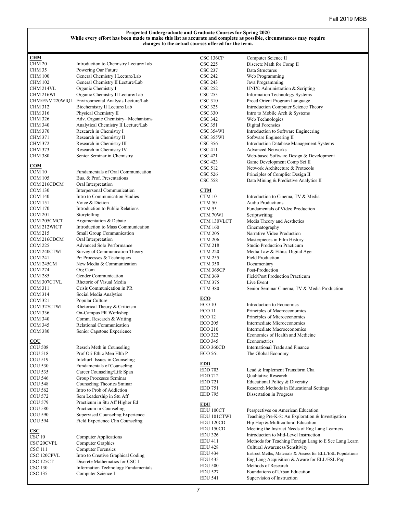| <b>CHM</b>        |                                                    | CSC 136CP         | Computer Science II                                        |
|-------------------|----------------------------------------------------|-------------------|------------------------------------------------------------|
| CHM <sub>20</sub> | Introduction to Chemistry Lecture/Lab              | <b>CSC 225</b>    | Discrete Math for Comp II                                  |
| CHM 35            | Powering Our Future                                | <b>CSC 237</b>    | Data Structures                                            |
| <b>CHM 100</b>    | General Chemistry I Lecture/Lab                    | <b>CSC 242</b>    | Web Programming                                            |
| <b>CHM 102</b>    | General Chemistry II Lecture/Lab                   | CSC 243           |                                                            |
|                   |                                                    | <b>CSC 252</b>    | Java Programming                                           |
| CHM 214VL         | Organic Chemistry I                                |                   | UNIX: Administration & Scripting                           |
| <b>CHM 216WI</b>  | Organic Chemistry II Lecture/Lab                   | CSC 253           | <b>Information Technology Systems</b>                      |
|                   | CHM/ENV 220WIQL Environmental Analysis Lecture/Lab | <b>CSC 310</b>    | Procd Orient Program Language                              |
| CHM 312           | Biochemistry II Lecture/Lab                        | CSC 325           | Introduction Computer Science Theory                       |
| <b>CHM 316</b>    | Physical Chemistry II                              | <b>CSC 330</b>    | Intro to Mobile Arch & Systems                             |
| <b>CHM 326</b>    | Adv. Organic Chemistry-Mechanisms                  | CSC 342           | Web Technologies                                           |
| <b>CHM 340</b>    | Analytical Chemistry II Lecture/Lab                | CSC 351           | Digital Forensics                                          |
| <b>CHM 370</b>    | Research in Chemistry I                            | <b>CSC 354WI</b>  | Introduction to Software Engineering                       |
| <b>CHM 371</b>    | Research in Chemistry II                           | CSC 355WI         | Software Engineering II                                    |
| CHM 372           | Research in Chemistry III                          | <b>CSC 356</b>    | Introduction Database Management Systems                   |
| <b>CHM 373</b>    | Research in Chemistry IV                           | <b>CSC 411</b>    | <b>Advanced Networks</b>                                   |
| <b>CHM 380</b>    | Senior Seminar in Chemistry                        | CSC 421           | Web-based Software Design & Development                    |
|                   |                                                    | CSC 423           | Game Development Comp Sci II                               |
| $_{\rm COM}$      |                                                    | <b>CSC 512</b>    | Network Architecture & Protocols                           |
| COM 10            | Fundamentals of Oral Communication                 | <b>CSC 526</b>    | Principles of Complier Design II                           |
| <b>COM 105</b>    | Bus. & Prof. Presentations                         | <b>CSC 558</b>    | Data Mining & Predictive Analytics II                      |
| COM 216CDCM       | Oral Interpretation                                |                   |                                                            |
| <b>COM 130</b>    | Interpersonal Communication                        | CTM               |                                                            |
| <b>COM 140</b>    | Intro to Communication Studies                     | CTM 10            | Introduction to Cinema, TV & Media                         |
| <b>COM 151</b>    | Voice & Diction                                    | CTM <sub>50</sub> | <b>Audio Productions</b>                                   |
| <b>COM 170</b>    | Introduction to Public Relations                   | CTM <sub>55</sub> | Fundamentals of Video Production                           |
| <b>COM 201</b>    | Storytelling                                       | CTM 70WI          | Scriptwriting                                              |
| COM 205CMCT       | Argumentation & Debate                             | CTM 130VLCT       | Media Theory and Aesthetics                                |
| COM 212WICT       | Introduction to Mass Communication                 | <b>CTM 160</b>    | Cinematography                                             |
| COM 215           | Small Group Communication                          | <b>CTM 205</b>    | Narrative Video Production                                 |
| COM 216CDCM       | Oral Interpretation                                | <b>CTM 206</b>    | Masterpieces in Film History                               |
| <b>COM 225</b>    | Advanced Solo Performance                          |                   |                                                            |
| COM 240CTWI       | Survey of Communication Theory                     | <b>CTM 218</b>    | Studio Production Practicum                                |
|                   |                                                    | <b>CTM 220</b>    | Media Law & Ethics Digital Age                             |
| <b>COM 241</b>    | Pr: Processes & Techniques                         | <b>CTM 255</b>    | <b>Field Production</b>                                    |
| COM 245CM         | New Media & Communication                          | <b>CTM 350</b>    | Documentary                                                |
| <b>COM 274</b>    | Org Com                                            | CTM 365CP         | Post-Production                                            |
| <b>COM 285</b>    | Gender Communication                               | <b>CTM 369</b>    | Field/Post Production Practicum                            |
| COM 307CTVL       | Rhetoric of Visual Media                           | <b>CTM 375</b>    | Live Event                                                 |
| <b>COM 311</b>    | Crisis Communication in PR                         | <b>CTM 380</b>    | Senior Seminar Cinema, TV & Media Production               |
| <b>COM 314</b>    | Social Media Analytics                             |                   |                                                            |
| <b>COM 321</b>    | Popular Culture                                    | ECO               |                                                            |
| COM 327CTWI       | Rhetorical Theory & Criticism                      | ECO10             | Introduction to Economics                                  |
| <b>COM 336</b>    | On-Campus PR Workshop                              | ECO 11            | Principles of Macroeconomics                               |
| <b>COM 340</b>    | Comm. Research & Writing                           | ECO <sub>12</sub> | Principles of Microeconomics                               |
| <b>COM 345</b>    | Relational Communication                           | <b>ECO 205</b>    | Intermediate Microeconomics                                |
| <b>COM 380</b>    | Senior Capstone Experience                         | <b>ECO 210</b>    | Intermediate Macroeconomics                                |
|                   |                                                    | <b>ECO 322</b>    | Economics of Health and Medicine                           |
| $_{\rm COU}$      |                                                    | <b>ECO 345</b>    | Econometrics                                               |
| <b>COU 508</b>    | Resrch Meth in Counseling                          | ECO 360CD         | International Trade and Finance                            |
| <b>COU 518</b>    | Prof Ori Ethic Men Hlth P                          | <b>ECO 561</b>    | The Global Economy                                         |
| COU 519           | Intelturl Issues in Counseling                     |                   |                                                            |
| <b>COU 530</b>    | Fundamentals of Counseling                         | <b>EDD</b>        |                                                            |
| <b>COU 535</b>    | Career Counseling/Life Span                        | <b>EDD 703</b>    | Lead & Implement Transform Cha                             |
| <b>COU 546</b>    | Group Processes Seminar                            | EDD 712           | <b>Qualitative Research</b>                                |
| <b>COU 548</b>    | Counseling Theories Sminar                         | <b>EDD</b> 721    | Educational Policy & Diversity                             |
| <b>COU 562</b>    | Intro to Prob of Addiction                         | <b>EDD</b> 751    | Research Methods in Educational Settings                   |
| <b>COU 572</b>    | Sem Leadership in Stu Aff                          | <b>EDD 795</b>    | Dissertation in Progress                                   |
| <b>COU 579</b>    | Practicum in Stu Aff Higher Ed                     |                   |                                                            |
| <b>COU 580</b>    | Practicum in Counseling                            | <b>EDU</b>        |                                                            |
| <b>COU 590</b>    | Supervised Counseling Experience                   | EDU 100CT         | Perspectives on American Education                         |
| <b>COU 594</b>    | Field Experience Clin Counseling                   | EDU 101CTWI       | Teaching Pre-K-8: An Exploration & Investigation           |
|                   |                                                    | EDU 120CD         | Hip Hop & Multicultural Education                          |
| CSC               |                                                    | EDU 150CD         | Meeting the Instruct Needs of Eng Lang Learners            |
| CSC 10            | Computer Applications                              | <b>EDU 326</b>    | Introduction to Mid-Level Instruction                      |
| CSC 20CVPL        | Computer Graphics                                  | <b>EDU 411</b>    | Methods for Teaching Foreign Lang to E Sec Lang Learn      |
| CSC 111           | <b>Computer Forensics</b>                          | <b>EDU 428</b>    | Cultural Awareness/Sensitivity                             |
| CSC 120CPVL       | Intro to Creative Graphical Coding                 | EDU 434           | Instruct Meths, Materials & Assess for ELL/ESL Populations |
| CSC 125CT         | Discrete Mathematics for CSC I                     | <b>EDU 435</b>    | Eng Lang Acquisition & Aware for ELL/ESL Pop               |
| <b>CSC 130</b>    | <b>Information Technology Fundamentals</b>         | <b>EDU 500</b>    | Methods of Research                                        |
| <b>CSC 135</b>    | Computer Science I                                 | <b>EDU 527</b>    | Foundations of Urban Education                             |
|                   |                                                    | <b>EDU 541</b>    | Supervision of Instruction                                 |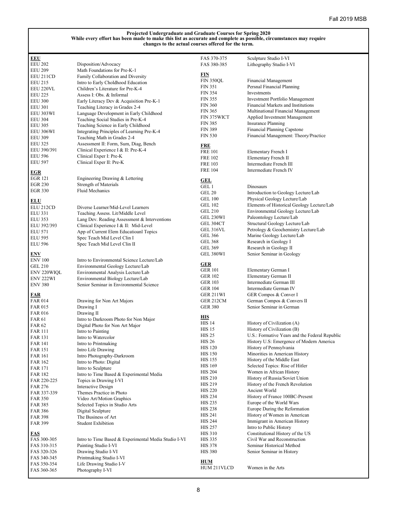| EEU                        |                                                      | FAS 370-375               | Sculpture Studio I-VI                          |
|----------------------------|------------------------------------------------------|---------------------------|------------------------------------------------|
| <b>EEU 202</b>             | Disposition/Advocacy                                 | FAS 380-385               | Lithography Studio I-VI                        |
|                            |                                                      |                           |                                                |
| <b>EEU 209</b>             | Math Foundations for Pre-K-1                         | <u>FIN</u>                |                                                |
| EEU 211CD                  | Family Collaboration and Diversity                   |                           |                                                |
| <b>EEU 215</b>             | Intro to Early Choldhood Education                   | <b>FIN 350QL</b>          | Financial Management                           |
| EEU 220VL                  | Children's Literature for Pre-K-4                    | <b>FIN 351</b>            | Persnal Financial Planning                     |
| <b>EEU 225</b>             | Assess I: Obs. & Informal                            | <b>FIN 354</b>            | Investments                                    |
| <b>EEU 300</b>             | Early Literacy Dev & Acquisition Pre-K-1             | <b>FIN 355</b>            | Investment Portfolio Management                |
|                            |                                                      | <b>FIN 360</b>            | Financial Markets and Institutions             |
| <b>EEU 301</b>             | Teaching Literacy in Grades 2-4                      | <b>FIN 365</b>            | Multinational Financial Management             |
| EEU 303WI                  | Language Development in Early Childhood              | FIN 375WICT               | Applied Investment Management                  |
| <b>EEU 304</b>             | Teaching Social Studies in Pre-K-4                   |                           | <b>Insurance Planning</b>                      |
| <b>EEU 305</b>             | Teaching Science in Early Childhood                  | <b>FIN 385</b>            |                                                |
| EEU 306WI                  | Integrating Principles of Learning Pre-K-4           | <b>FIN 389</b>            | Financial Planning Capstone                    |
| <b>EEU 309</b>             | Teaching Math in Grades 2-4                          | <b>FIN 530</b>            | Financial Management: Theory/Practice          |
| <b>EEU 325</b>             | Assessment II: Form, Sum, Diag, Bench                |                           |                                                |
| EEU 390/391                | Clinical Experience I & II: Pre-K-4                  | <b>FRE</b>                |                                                |
|                            |                                                      | <b>FRE 101</b>            | Elementary French I                            |
| <b>EEU 596</b>             | Clinical Exper I: Pre-K                              | <b>FRE 102</b>            | Elementary French II                           |
| <b>EEU 597</b>             | Clinical Exper II: Pre-K                             | <b>FRE 103</b>            | Intermediate French III                        |
|                            |                                                      | <b>FRE 104</b>            | Intermediate French IV                         |
| <b>EGR</b>                 |                                                      |                           |                                                |
| <b>EGR 121</b>             | Engineering Drawing & Lettering                      | <b>GEL</b>                |                                                |
| <b>EGR 230</b>             | <b>Strength of Materials</b>                         | GEL 1                     | Dinosaurs                                      |
| <b>EGR 330</b>             | Fluid Mechanics                                      |                           |                                                |
|                            |                                                      | <b>GEL 20</b>             | Introduction to Geology Lecture/Lab            |
| <b>ELU</b>                 |                                                      | <b>GEL 100</b>            | Physical Geology Lecture/Lab                   |
| ELU 212CD                  | Diverse Learner/Mid-Level Learners                   | <b>GEL 102</b>            | Elements of Historical Geology Lecture/Lab     |
| <b>ELU 331</b>             | Teaching Assess. Lit/Middle Level                    | <b>GEL 210</b>            | Environmental Geology Lecture/Lab              |
|                            |                                                      | <b>GEL 230WI</b>          | Paleontology Lecture/Lab                       |
| <b>ELU 353</b>             | Lang Dev. Reading Assessment & Interventions         | GEL 304CT                 | Structural Geology Lecture/Lab                 |
| ELU 392/393                | Clinical Experience I & II: Mid-Level                | GEL 316VL                 | Petrology & Geochemistry Lecture/Lab           |
| <b>ELU 571</b>             | App of Current Elem Educatioanl Topics               |                           |                                                |
| <b>ELU 595</b>             | Spec Teach Mid Level Clin I                          | GEL 366                   | Marine Geology Lecture/Lab                     |
| <b>ELU 596</b>             | Spec Teach Mid Level Clin II                         | <b>GEL 368</b>            | Research in Geology I                          |
|                            |                                                      | <b>GEL 369</b>            | Research in Geology II                         |
| <b>ENV</b>                 |                                                      | GEL 380WI                 | Senior Seminar in Geology                      |
| <b>ENV 100</b>             | Intro to Environmental Science Lecture/Lab           |                           |                                                |
| <b>GEL 210</b>             | Environmental Geology Lecture/Lab                    | <b>GER</b>                |                                                |
| <b>ENV 220WIQL</b>         | Environmental Analysis Lecture/Lab                   | <b>GER 101</b>            | Elementary German I                            |
| <b>ENV 222WI</b>           | Environmental Biology Lecture/Lab                    | <b>GER 102</b>            | Elementary German II                           |
| <b>ENV 380</b>             | Senior Seminar in Environmental Science              | <b>GER 103</b>            | Intermediate German III                        |
|                            |                                                      | <b>GER 104</b>            | Intermediate German IV                         |
| <b>FAR</b>                 |                                                      | GER 211WI                 | GER Compos & Conver I                          |
| <b>FAR 014</b>             | Drawing for Non Art Majors                           | GER 212CM                 | German Compos & Convers II                     |
|                            |                                                      |                           | Senior Seminar in German                       |
| <b>FAR 015</b>             | Drawing I                                            | <b>GER 380</b>            |                                                |
| <b>FAR 016</b>             | Drawing II                                           | <b>HIS</b>                |                                                |
| <b>FAR 61</b>              | Intro to Darkroom Photo for Non Major                |                           |                                                |
| <b>FAR 62</b>              | Digital Photo for Non Art Major                      | <b>HIS 14</b>             | History of Civilization (A)                    |
| <b>FAR 111</b>             | Intro to Painting                                    | <b>HIS 15</b>             | History of Civilization (B)                    |
| <b>FAR 131</b>             | Intro to Watercolor                                  | <b>HIS 25</b>             | U.S.: Formative Years and the Federal Republic |
| <b>FAR 141</b>             | Intro to Printmaking                                 | HIS 26                    | History U.S: Emergence of Modern America       |
| <b>FAR 151</b>             |                                                      | <b>HIS 120</b>            | History of Pennsylvania                        |
|                            | Intro Life Drawing                                   | <b>HIS 150</b>            | Minorities in American History                 |
| <b>FAR 161</b>             | Intro Photography-Darkroom                           | <b>HIS 155</b>            | History of the Middle East                     |
| FAR 162                    | Intro to Photo: Digital                              | <b>HIS 169</b>            | Selected Topics: Rise of Hitler                |
| FAR 171                    | Intro to Sculpture                                   |                           |                                                |
| FAR 182                    | Intro to Time Based & Experimental Media             | <b>HIS 204</b>            | Women in African History                       |
| FAR 220-225                | Topics in Drawing I-VI                               | <b>HIS 210</b>            | History of Russia/Soviet Union                 |
| <b>FAR 276</b>             | Interactive Design                                   | HIS 219                   | History of the French Revolution               |
|                            |                                                      | <b>HIS 220</b>            | Ancient World                                  |
| FAR 337-339                | Themes Practice in Photo                             |                           | History of France 100BC-Present                |
|                            |                                                      |                           |                                                |
| <b>FAR 350</b>             | Video Art/Motion Graphics                            | <b>HIS 234</b>            |                                                |
| <b>FAR 385</b>             | Selected Topics in Studio Arts                       | <b>HIS 235</b>            | Europe of the World Wars                       |
| <b>FAR 386</b>             | Digital Sculpture                                    | <b>HIS 238</b>            | Europe During the Reformation                  |
| <b>FAR 398</b>             | The Business of Art                                  | <b>HIS 241</b>            | History of Women in American                   |
|                            |                                                      | <b>HIS 244</b>            | Immigrant in American History                  |
| <b>FAR 399</b>             | <b>Student Exhibition</b>                            | <b>HIS 257</b>            | Intro to Public History                        |
| <b>FAS</b>                 |                                                      | <b>HIS 310</b>            | Constitutional History of the US               |
|                            |                                                      |                           |                                                |
| FAS 300-305                | Intro to Time Based & Experimental Media Studio I-VI | <b>HIS 335</b>            | Civil War and Reconstruction                   |
| FAS 310-315                | Painting Studio I-VI                                 | <b>HIS 378</b>            | Seminar Historical Method                      |
| FAS 320-326                | Drawing Studio I-VI                                  | <b>HIS 380</b>            | Senior Seminar in History                      |
| FAS 340-345                | Printmaking Studio I-VI                              |                           |                                                |
| FAS 350-354<br>FAS 360-365 | Life Drawing Studio I-V<br>Photography I-VI          | <b>HUM</b><br>HUM 211VLCD | Women in the Arts                              |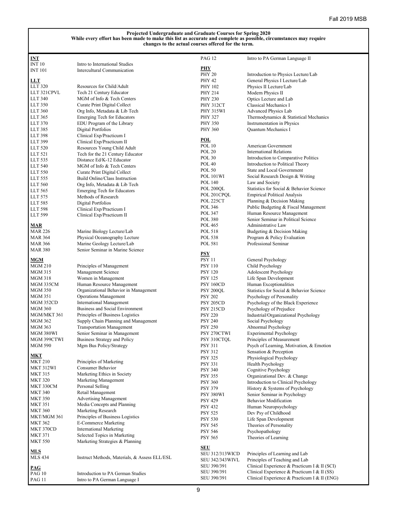| $INT$          |                                               | <b>PAG 12</b>          | Intro to PA German Language II               |
|----------------|-----------------------------------------------|------------------------|----------------------------------------------|
| INT $10\,$     | Intro to International Studies                |                        |                                              |
| <b>INT 101</b> | Intercultural Communication                   | <b>PHY</b>             |                                              |
|                |                                               | <b>PHY 20</b>          | Introduction to Physics Lecture/Lab          |
| <b>LLT</b>     |                                               | <b>PHY 42</b>          | General Physics I Lecture/Lab                |
| LLT 320        | Resources for Child/Adult                     | <b>PHY 102</b>         | Physics II Lecture/Lab                       |
| LLT 321CPVL    | Tech 21 Century Educator                      | PHY 214                | Modern Physics II                            |
| <b>LLT 340</b> | MGM of Info & Tech Centers                    | <b>PHY 230</b>         | Optics Lecture and Lab                       |
| LLT 350        | Curate Print Digital Collect                  | <b>PHY 312CT</b>       | Classical Mechanics I                        |
| LLT 360        | Org Info, Metadata & Lib Tech                 | <b>PHY 315WI</b>       | Advanced Physics Lab                         |
| LLT 365        | <b>Emerging Tech for Educators</b>            | <b>PHY 327</b>         | Thermodynamics & Statistical Mechanics       |
| LLT 370        | EDU Program of the Library                    | <b>PHY 350</b>         | Instrumentation in Physics                   |
| LLT 385        | Digital Portfolios                            | <b>PHY 360</b>         | Quantum Mechanics I                          |
| LLT 398        | Clinical Exp/Practicum I                      |                        |                                              |
| LLT 399        | Clinical Exp/Practicum II                     | <b>POL</b>             |                                              |
| LLT 520        | Resources Young Child Adult                   | POL 10                 | American Government                          |
| LLT 521        | Tech for the 21 Century Educator              | <b>POL 20</b>          | <b>International Relations</b>               |
| LLT 535        | Distance Ed/K-12 Educator                     | POL 30                 | Introduction to Comparative Politics         |
| LLT 540        | MGM of Info & Tech Centers                    | <b>POL 40</b>          | Introduction to Political Theory             |
| LLT 550        |                                               | <b>POL 50</b>          | State and Local Government                   |
|                | Curate Print Digital Collect                  | <b>POL 101WI</b>       | Social Research Design & Writing             |
| LLT 555        | Build Online/Class Instruction                | POL 140                | Law and Society                              |
| LLT 560        | Org Info, Metadata & Lib Tech                 | POL 200QL              | Statistics for Social & Behavior Science     |
| LLT 565        | <b>Emerging Tech for Educators</b>            | POL 201CPQL            | <b>Empirical Political Analysis</b>          |
| LLT 575        | Methods of Research                           | POL 225CT              | Planning & Decision Making                   |
| LLT 585        | Digital Portfolios                            | POL 346                | Public Budgeting & Fiscal Management         |
| <b>LLT 598</b> | Clinical Exp/Practicum I                      |                        |                                              |
| LLT 599        | Clinical Exp/Practicum II                     | POL 347                | Human Resource Management                    |
|                |                                               | <b>POL 380</b>         | Senior Seminar in Political Science          |
| <b>MAR</b>     |                                               | POL 465                | Administrative Law                           |
| <b>MAR 226</b> | Marine Biology Lecture/Lab                    | POL 518                | Budgeting & Decision Making                  |
| <b>MAR 364</b> | Physical Oceanography Lecture                 | POL 538                | Program & Policy Evaluation                  |
| <b>MAR 366</b> | Marine Geology Lecture/Lab                    | <b>POL 581</b>         | Professional Seminar                         |
| <b>MAR 380</b> | Senior Seminar in Marine Science              |                        |                                              |
|                |                                               | PSY                    |                                              |
| <b>MGM</b>     |                                               | <b>PSY 11</b>          | General Psychology                           |
| <b>MGM 210</b> | Principles of Management                      | <b>PSY 110</b>         | Child Psychology                             |
| MGM 315        | Management Science                            | <b>PSY 120</b>         | Adolescent Psychology                        |
| MGM 318        | Women in Management                           | <b>PSY 125</b>         | Life Span Development                        |
| MGM 335CM      | Human Resource Management                     | <b>PSY 160CD</b>       | Human Exceptionalities                       |
| <b>MGM 350</b> | Organizational Behavior in Management         | PSY 200QL              | Statistics for Social & Behavior Science     |
| <b>MGM 351</b> | <b>Operations Management</b>                  | <b>PSY 202</b>         | Psychology of Personality                    |
| MGM 352CD      | International Management                      | <b>PSY 205CD</b>       | Psychology of the Black Experience           |
| <b>MGM 360</b> | Business and Social Environment               | <b>PSY 215CD</b>       | Psychology of Prejudice                      |
| MGM/MKT 361    | Principles of Business Logistics              | <b>PSY 220</b>         | Industrial/Organizational Psychology         |
| <b>MGM 362</b> | Supply Chain Planning and Management          | <b>PSY 240</b>         | Social Psychology                            |
| <b>MGM 363</b> | <b>Transportation Management</b>              | <b>PSY 250</b>         | Abnormal Psychology                          |
| MGM 380WI      | Senior Seminar in Management                  | PSY 270CTWI            | Experimental Psychology                      |
| MGM 399CTWI    | <b>Business Strategy and Policy</b>           | PSY 310CTQL            | Principles of Measurement                    |
| <b>MGM 590</b> | Mgm Bus Policy/Strategy                       | <b>PSY 311</b>         | Psych of Learning, Motivation, & Emotion     |
|                |                                               | <b>PSY 312</b>         | Sensation & Perception                       |
| <u>мкт</u>     |                                               | <b>PSY 325</b>         | Physiological Psychology                     |
| MKT 210        | Principles of Marketing                       | PSY 331                | Health Psychology                            |
| MKT 312WI      | Consumer Behavior                             | <b>PSY 340</b>         | Cognitive Psychology                         |
| <b>MKT 315</b> | Marketing Ethics in Society                   | <b>PSY 355</b>         | Organizational Dev. & Change                 |
| <b>MKT 320</b> | Marketing Management                          | <b>PSY 360</b>         | Introduction to Clinical Psychology          |
| MKT 330CM      | Personal Selling                              | <b>PSY 379</b>         | History & Systems of Psychology              |
| <b>MKT 340</b> | Retail Management                             | PSY 380WI              | Senior Seminar in Psychology                 |
| <b>MKT 350</b> | <b>Advertising Management</b>                 | <b>PSY 429</b>         | <b>Behavior Modification</b>                 |
| <b>MKT 351</b> | Media Concepts and Planning                   | <b>PSY 432</b>         | Human Neuropsychology                        |
| <b>MKT 360</b> | Marketing Research                            | <b>PSY 525</b>         |                                              |
| MKT/MGM 361    | Principles of Business Logistics              |                        | Dev Psy of Childhood                         |
| <b>MKT 362</b> | E-Commerce Marketing                          | <b>PSY 530</b>         | Life Span Development                        |
| MKT 370CD      | <b>International Marketing</b>                | <b>PSY 545</b>         | Theories of Personality                      |
| <b>MKT 371</b> | Selected Topics in Marketing                  | PSY 546                | Psychopathology                              |
| <b>MKT 550</b> | Marketing Strategies & Planning               | <b>PSY 565</b>         | Theories of Learning                         |
| <b>MLS</b>     |                                               | <b>SEU</b>             |                                              |
| <b>MLS 434</b> | Instruct Methods, Materials, & Assess ELL/ESL | <b>SEU 312/313WICD</b> | Principles of Learning and Lab               |
|                |                                               | SEU 342/343WIVL        | Principles of Teaching and Lab               |
| <b>PAG</b>     |                                               | SEU 390/391            | Clinical Experience & Practicum I & II (SCI) |
| PAG 10         | Introduction to PA German Studies             | SEU 390/391            | Clinical Experience & Practicum I & II (SS)  |
| <b>PAG 11</b>  | Intro to PA German Language I                 | SEU 390/391            | Clinical Experience & Practicum I & II (ENG) |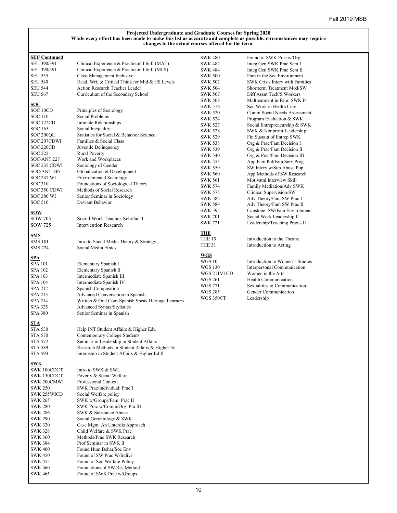| <b>SEU Continued</b> |                                                    | <b>SWK 480</b> | Found of SWK Prac w/Org                |
|----------------------|----------------------------------------------------|----------------|----------------------------------------|
| SEU 390/391          | Clinical Experience & Practicum I & II (MAT)       | <b>SWK 482</b> | Integ Gen SWK Prac Sem I               |
| SEU 390/391          | Clinical Experience & Practicum I & II (MLS)       | SWK 484        | Integ Gen SWK Prac Sem II              |
| SEU 535              | Class Management Inclusive                         | <b>SWK 500</b> | Fam in the Soc Environment             |
| SEU 540              | Read, Wri, & Critical Think for Mid & HS Levels    | <b>SWK 502</b> | <b>SWK Crisis Intery with Families</b> |
| <b>SEU 544</b>       | Action Research Teacher Leader                     | <b>SWK 504</b> | Shortterm Treatment Mod/SW             |
| <b>SEU 567</b>       | Curriculum of the Secondary School                 | <b>SWK 507</b> | Diff Assnt Tech/S Workers              |
|                      |                                                    | <b>SWK 508</b> | Maltreatment in Fam: SWK Pr            |
| SOC                  |                                                    | <b>SWK 516</b> | Soc Work in Health Care                |
| SOC 10CD             | Principles of Sociology                            | <b>SWK 520</b> | Comm Social Needs Assessment           |
| SOC 110              | Social Problems                                    | SWK 524        | Program Evaluation & SWK               |
| SOC 122CD            | Intimate Relationships                             | <b>SWK 527</b> | Social Entrepreneurship & SWK          |
| SOC 165              | Social Inequality                                  | SWK 528        | SWK & Nonprofit Leadership             |
| SOC 200QL            | Statistics for Social & Behavior Science           | <b>SWK 529</b> | Fin Sustain of Entrep SWK              |
| SOC 207CDWI          | Families & Social Class                            | <b>SWK 538</b> | Org & Prac/Fam Decision I              |
| SOC 220CD            | Juvenile Delinquency                               | SWK 539        | Org & Prac/Fam Decision II             |
| SOC 222              | <b>Rural Poverty</b>                               | <b>SWK 540</b> | Org & Prac/Fam Decision III            |
| SOC/ANT 227          | Work and Workplaces                                | SWK 555        | App Fam Pol/Fam Serv Prog              |
| SOC 235 CDWI         | Sociology of Gender                                | <b>SWK 559</b> | SW Interv w/Sub Abuse Pop              |
| SOC/ANT 246          | Globalization & Development                        | <b>SWK 560</b> | App Methods of SW Research             |
| SOC 247 WI           | <b>Environmental Sociology</b>                     | <b>SWK 561</b> | Motivatnl Interview Skill              |
| SOC 310              | Foundations of Sociological Theory                 | <b>SWK 574</b> | Family Mediation/Adv SWK               |
| SOC 350 CDWI         | Methods of Social Research                         | <b>SWK 575</b> | Clinical Supervision/SW                |
| SOC 380 WI           | Senior Seminar in Sociology                        | SWK 582        | Adv Theory/Fam SW Prac I               |
| SOC 510              | Deviant Behavior                                   |                | Adv Theory/Fam SW Prac II              |
|                      |                                                    | SWK 584        |                                        |
| <u>sow</u>           |                                                    | <b>SWK 595</b> | Capstone: SW/Fam Environment           |
| SOW 705              | Social Work Teacher-Scholar II                     | <b>SWK 701</b> | Social Work Leadership II              |
| SOW 725              | <b>Intervention Research</b>                       | <b>SWK 721</b> | Leadership/Teaching Praxis II          |
|                      |                                                    | THE            |                                        |
| <u>SMS</u>           |                                                    | THE 15         | Introduction to the Theatre            |
| SMS 101              | Intro to Social Media Theory & Strategy            | <b>THE 31</b>  | Introduction to Acting                 |
| SMS 224              | Social Media Ethics                                |                |                                        |
| <u>SPA</u>           |                                                    | <b>WGS</b>     |                                        |
| SPA 101              | Elementary Spanish I                               | <b>WGS 10</b>  | Introduction to Women's Studies        |
| <b>SPA 102</b>       | Elementary Spanish II                              | <b>WGS 130</b> | Interpersonal Communication            |
| SPA 103              | Intermediate Spanish III                           | WGS 211VLCD    | Women in the Arts                      |
| SPA 104              | Intermediate Spanish IV                            | WGS 261        | Health Communication                   |
| SPA 212              | Spanish Composition                                | <b>WGS 271</b> | Sexualities & Communication            |
| SPA 213              | Advanced Conversation in Spanish                   | <b>WGS 285</b> | Gender Communication                   |
| SPA 214              | Written & Oral Com-Spanish Speak Heritage Learners | WGS 350CT      | Leadership                             |
| SPA 325              | Advanced Syntax/Stylistics                         |                |                                        |
| SPA 380              | Senior Seminar in Spanish                          |                |                                        |
|                      |                                                    |                |                                        |
| <u>STA</u>           |                                                    |                |                                        |
| STA 530              | Help INT Student Affairs & Higher Edu              |                |                                        |
| STA 570              | Contemporary College Students                      |                |                                        |
| STA 572              | Seminar in Leadership in Student Affairs           |                |                                        |
| STA 589              | Research Methods in Student Affairs & Higher Ed    |                |                                        |
| STA 593              | Internship in Student Affairs & Higher Ed II       |                |                                        |
|                      |                                                    |                |                                        |
| <u>SWK</u>           |                                                    |                |                                        |
| SWK 100CDCT          | Intro to SWK & SWL                                 |                |                                        |
| SWK 130CDCT          | Poverty & Social Welfare                           |                |                                        |
| SWK 200CMWI          | Professional Context                               |                |                                        |
| SWK 250              | SWK Prac/Individual: Prac I                        |                |                                        |
| SWK 255WICD          | Social Welfare policy                              |                |                                        |
| SWK 265              | SWK w/Groups/Fam: Prac II                          |                |                                        |
| SWK 280              | SWK Prac w/Comm/Org: Pra III                       |                |                                        |
| SWK 286              | SWK & Substance Abuse                              |                |                                        |
| SWK 290              | Social Gerontology & SWK                           |                |                                        |
| SWK 320              | Case Mgm: An Unterdis Approach                     |                |                                        |
| SWK 328              | Child Welfare & SWK Prac                           |                |                                        |
| SWK 360              | Methods/Prac SWK Research                          |                |                                        |
| SWK 384              | Prof Seminar in SWK II                             |                |                                        |
| SWK 400              | Found Hum Behar/Soc Env                            |                |                                        |
| SWK 450              | Found of SW Prac W/Indivi                          |                |                                        |
| SWK 455              | Found of Soc Welfare Policy                        |                |                                        |
| SWK 460              | Foundations of SW Res Method                       |                |                                        |
| <b>SWK 465</b>       | Found of SWK Prac w/Groups                         |                |                                        |

Found of SWK Prac w/Groups